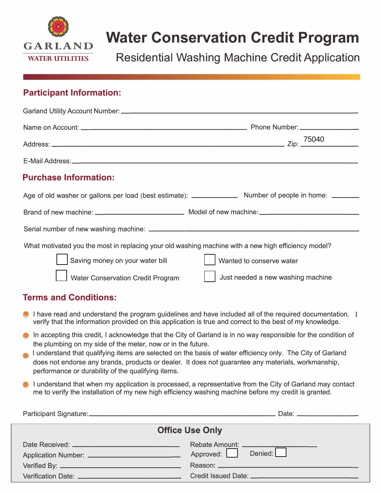

## **Water Conservation Credit Program**

**Residential Washing Machine Credit Application** 

### **Participant Information:**

| <b>Purchase Information:</b>                                                                        |                                   |
|-----------------------------------------------------------------------------------------------------|-----------------------------------|
|                                                                                                     |                                   |
|                                                                                                     |                                   |
|                                                                                                     |                                   |
| What motivated you the most in replacing your old washing machine with a new high efficiency model? |                                   |
| Saving money on your water bill                                                                     | Wanted to conserve water          |
| <b>Water Conservation Credit Program</b>                                                            | Just needed a new washing machine |

### **Terms and Conditions:**

- I have read and understand the program guidelines and have included all of the required documentation. I verify that the information provided on this application is true and correct to the best of my knowledge.
- **In accepting this credit, I acknowledge that the City of Garland is in no way responsible for the condition of** the plumbing on my side of the meter, now or in the future.
- I understand that qualifying items are selected on the basis of water efficiency only. The City of Garland does not endorse any brands, products or dealer. It does not guarantee any materials, workmanship, performance or durability of the qualifying items.
- I understand that when my application is processed, a representative from the City of Garland may contact me to verify the installation of my new high efficiency washing machine before my credit is granted.

|                                                  | Date: _____________ |
|--------------------------------------------------|---------------------|
| <b>Office Use Only</b>                           |                     |
| Date Received: _________________________________ |                     |
|                                                  | Approved: Denied:   |
|                                                  |                     |
| Verification Date: ____________________________  |                     |